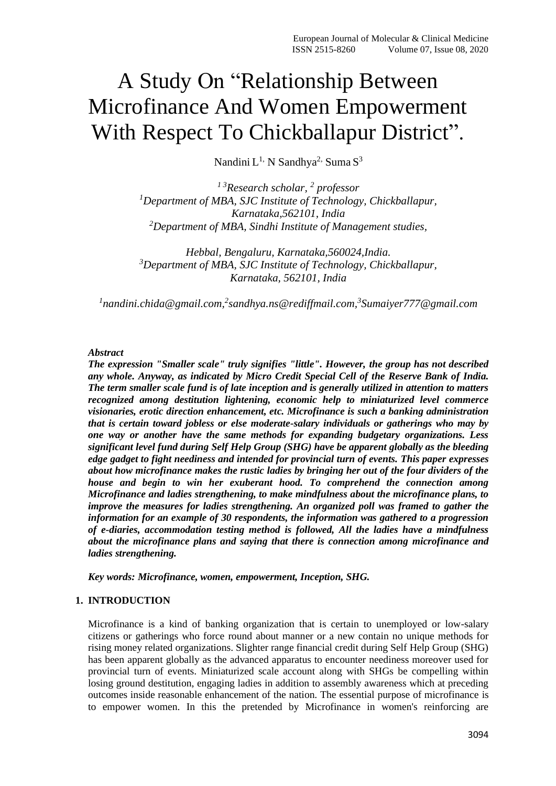# A Study On "Relationship Between Microfinance And Women Empowerment With Respect To Chickballapur District".

Nandini  $L^{1}$ , N $S$ andhya $^{2}$ , Suma $S^{3}$ 

*1 3Research scholar, <sup>2</sup> professor <sup>1</sup>Department of MBA, SJC Institute of Technology, Chickballapur, Karnataka,562101, India <sup>2</sup>Department of MBA, Sindhi Institute of Management studies,* 

*Hebbal, Bengaluru, Karnataka,560024,India. <sup>3</sup>Department of MBA, SJC Institute of Technology, Chickballapur, Karnataka, 562101, India*

<sup>1</sup>nandini.chida@gmail.com,<sup>2</sup>sandhya.ns@rediffmail.com,<sup>3</sup>Sumaiyer777@gmail.com

## *Abstract*

*The expression "Smaller scale" truly signifies "little". However, the group has not described any whole. Anyway, as indicated by Micro Credit Special Cell of the Reserve Bank of India. The term smaller scale fund is of late inception and is generally utilized in attention to matters recognized among destitution lightening, economic help to miniaturized level commerce visionaries, erotic direction enhancement, etc. Microfinance is such a banking administration that is certain toward jobless or else moderate-salary individuals or gatherings who may by one way or another have the same methods for expanding budgetary organizations. Less significant level fund during Self Help Group (SHG) have be apparent globally as the bleeding edge gadget to fight neediness and intended for provincial turn of events. This paper expresses about how microfinance makes the rustic ladies by bringing her out of the four dividers of the house and begin to win her exuberant hood. To comprehend the connection among Microfinance and ladies strengthening, to make mindfulness about the microfinance plans, to improve the measures for ladies strengthening. An organized poll was framed to gather the information for an example of 30 respondents, the information was gathered to a progression of e-diaries, accommodation testing method is followed, All the ladies have a mindfulness about the microfinance plans and saying that there is connection among microfinance and ladies strengthening.*

*Key words: Microfinance, women, empowerment, Inception, SHG.*

#### **1. INTRODUCTION**

Microfinance is a kind of banking organization that is certain to unemployed or low-salary citizens or gatherings who force round about manner or a new contain no unique methods for rising money related organizations. Slighter range financial credit during Self Help Group (SHG) has been apparent globally as the advanced apparatus to encounter neediness moreover used for provincial turn of events. Miniaturized scale account along with SHGs be compelling within losing ground destitution, engaging ladies in addition to assembly awareness which at preceding outcomes inside reasonable enhancement of the nation. The essential purpose of microfinance is to empower women. In this the pretended by Microfinance in women's reinforcing are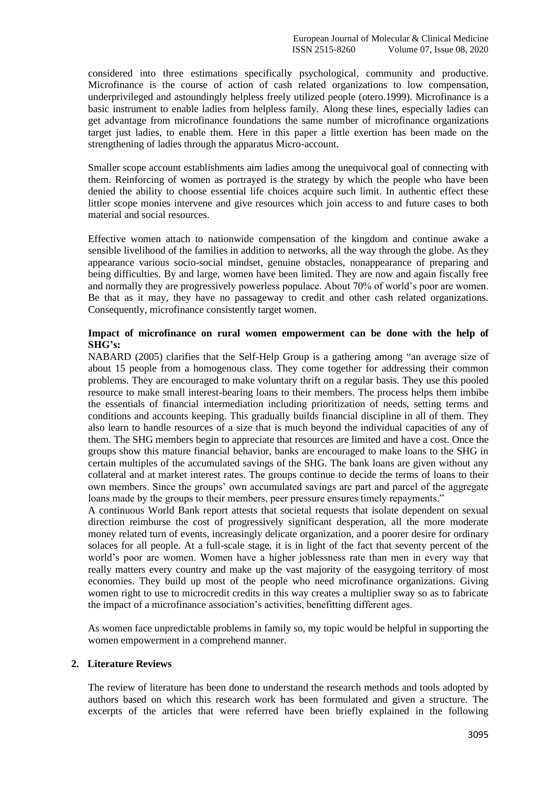considered into three estimations specifically psychological, community and productive. Microfinance is the course of action of cash related organizations to low compensation, underprivileged and astoundingly helpless freely utilized people (otero.1999). Microfinance is a basic instrument to enable ladies from helpless family. Along these lines, especially ladies can get advantage from microfinance foundations the same number of microfinance organizations target just ladies, to enable them. Here in this paper a little exertion has been made on the strengthening of ladies through the apparatus Micro-account.

Smaller scope account establishments aim ladies among the unequivocal goal of connecting with them. Reinforcing of women as portrayed is the strategy by which the people who have been denied the ability to choose essential life choices acquire such limit. In authentic effect these littler scope monies intervene and give resources which join access to and future cases to both material and social resources.

Effective women attach to nationwide compensation of the kingdom and continue awake a sensible livelihood of the families in addition to networks, all the way through the globe. As they appearance various socio-social mindset, genuine obstacles, nonappearance of preparing and being difficulties. By and large, women have been limited. They are now and again fiscally free and normally they are progressively powerless populace. About 70% of world's poor are women. Be that as it may, they have no passageway to credit and other cash related organizations. Consequently, microfinance consistently target women.

## **Impact of microfinance on rural women empowerment can be done with the help of SHG's:**

NABARD (2005) clarifies that the Self-Help Group is a gathering among "an average size of about 15 people from a homogenous class. They come together for addressing their common problems. They are encouraged to make voluntary thrift on a regular basis. They use this pooled resource to make small interest-bearing loans to their members. The process helps them imbibe the essentials of financial intermediation including prioritization of needs, setting terms and conditions and accounts keeping. This gradually builds financial discipline in all of them. They also learn to handle resources of a size that is much beyond the individual capacities of any of them. The SHG members begin to appreciate that resources are limited and have a cost. Once the groups show this mature financial behavior, banks are encouraged to make loans to the SHG in certain multiples of the accumulated savings of the SHG. The bank loans are given without any collateral and at market interest rates. The groups continue to decide the terms of loans to their own members. Since the groups' own accumulated savings are part and parcel of the aggregate loans made by the groups to their members, peer pressure ensures timely repayments."

A continuous World Bank report attests that societal requests that isolate dependent on sexual direction reimburse the cost of progressively significant desperation, all the more moderate money related turn of events, increasingly delicate organization, and a poorer desire for ordinary solaces for all people. At a full-scale stage, it is in light of the fact that seventy percent of the world's poor are women. Women have a higher joblessness rate than men in every way that really matters every country and make up the vast majority of the easygoing territory of most economies. They build up most of the people who need microfinance organizations. Giving women right to use to microcredit credits in this way creates a multiplier sway so as to fabricate the impact of a microfinance association's activities, benefitting different ages.

As women face unpredictable problems in family so, my topic would be helpful in supporting the women empowerment in a comprehend manner.

#### **2. Literature Reviews**

The review of literature has been done to understand the research methods and tools adopted by authors based on which this research work has been formulated and given a structure. The excerpts of the articles that were referred have been briefly explained in the following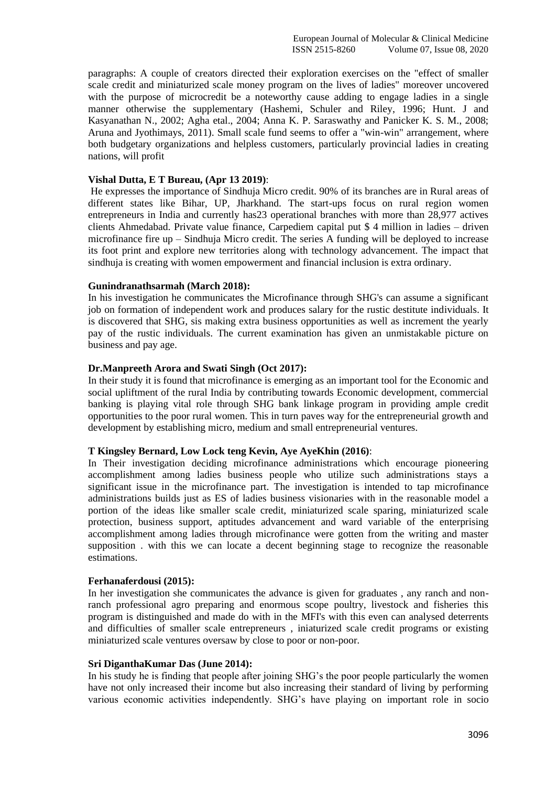paragraphs: A couple of creators directed their exploration exercises on the "effect of smaller scale credit and miniaturized scale money program on the lives of ladies" moreover uncovered with the purpose of microcredit be a noteworthy cause adding to engage ladies in a single manner otherwise the supplementary (Hashemi, Schuler and Riley, 1996; Hunt. J and Kasyanathan N., 2002; Agha etal., 2004; Anna K. P. Saraswathy and Panicker K. S. M., 2008; Aruna and Jyothimays, 2011). Small scale fund seems to offer a "win-win" arrangement, where both budgetary organizations and helpless customers, particularly provincial ladies in creating nations, will profit

#### **Vishal Dutta, E T Bureau, (Apr 13 2019)**:

He expresses the importance of Sindhuja Micro credit. 90% of its branches are in Rural areas of different states like Bihar, UP, Jharkhand. The start-ups focus on rural region women entrepreneurs in India and currently has23 operational branches with more than 28,977 actives clients Ahmedabad. Private value finance, Carpediem capital put \$ 4 million in ladies – driven microfinance fire up – Sindhuja Micro credit. The series A funding will be deployed to increase its foot print and explore new territories along with technology advancement. The impact that sindhuja is creating with women empowerment and financial inclusion is extra ordinary.

#### **Gunindranathsarmah (March 2018):**

In his investigation he communicates the Microfinance through SHG's can assume a significant job on formation of independent work and produces salary for the rustic destitute individuals. It is discovered that SHG, sis making extra business opportunities as well as increment the yearly pay of the rustic individuals. The current examination has given an unmistakable picture on business and pay age.

#### **Dr.Manpreeth Arora and Swati Singh (Oct 2017):**

In their study it is found that microfinance is emerging as an important tool for the Economic and social upliftment of the rural India by contributing towards Economic development, commercial banking is playing vital role through SHG bank linkage program in providing ample credit opportunities to the poor rural women. This in turn paves way for the entrepreneurial growth and development by establishing micro, medium and small entrepreneurial ventures.

#### **T Kingsley Bernard, Low Lock teng Kevin, Aye AyeKhin (2016)**:

In Their investigation deciding microfinance administrations which encourage pioneering accomplishment among ladies business people who utilize such administrations stays a significant issue in the microfinance part. The investigation is intended to tap microfinance administrations builds just as ES of ladies business visionaries with in the reasonable model a portion of the ideas like smaller scale credit, miniaturized scale sparing, miniaturized scale protection, business support, aptitudes advancement and ward variable of the enterprising accomplishment among ladies through microfinance were gotten from the writing and master supposition . with this we can locate a decent beginning stage to recognize the reasonable estimations.

#### **Ferhanaferdousi (2015):**

In her investigation she communicates the advance is given for graduates , any ranch and nonranch professional agro preparing and enormous scope poultry, livestock and fisheries this program is distinguished and made do with in the MFI's with this even can analysed deterrents and difficulties of smaller scale entrepreneurs , iniaturized scale credit programs or existing miniaturized scale ventures oversaw by close to poor or non-poor.

#### **Sri DiganthaKumar Das (June 2014):**

In his study he is finding that people after joining SHG's the poor people particularly the women have not only increased their income but also increasing their standard of living by performing various economic activities independently. SHG's have playing on important role in socio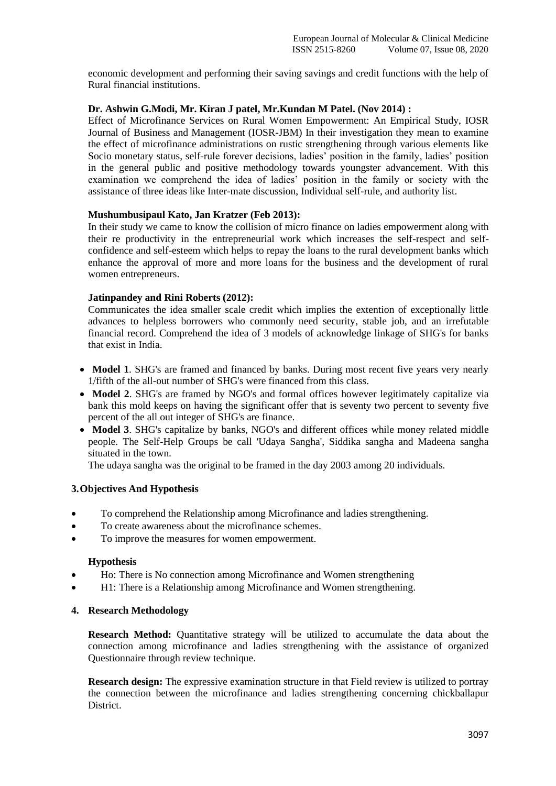economic development and performing their saving savings and credit functions with the help of Rural financial institutions.

#### **Dr. Ashwin G.Modi, Mr. Kiran J patel, Mr.Kundan M Patel. (Nov 2014) :**

Effect of Microfinance Services on Rural Women Empowerment: An Empirical Study, IOSR Journal of Business and Management (IOSR-JBM) In their investigation they mean to examine the effect of microfinance administrations on rustic strengthening through various elements like Socio monetary status, self-rule forever decisions, ladies' position in the family, ladies' position in the general public and positive methodology towards youngster advancement. With this examination we comprehend the idea of ladies' position in the family or society with the assistance of three ideas like Inter-mate discussion, Individual self-rule, and authority list.

#### **Mushumbusipaul Kato, Jan Kratzer (Feb 2013):**

In their study we came to know the collision of micro finance on ladies empowerment along with their re productivity in the entrepreneurial work which increases the self-respect and selfconfidence and self-esteem which helps to repay the loans to the rural development banks which enhance the approval of more and more loans for the business and the development of rural women entrepreneurs.

#### **Jatinpandey and Rini Roberts (2012):**

Communicates the idea smaller scale credit which implies the extention of exceptionally little advances to helpless borrowers who commonly need security, stable job, and an irrefutable financial record. Comprehend the idea of 3 models of acknowledge linkage of SHG's for banks that exist in India.

- **Model 1.** SHG's are framed and financed by banks. During most recent five years very nearly 1/fifth of the all-out number of SHG's were financed from this class.
- **Model 2.** SHG's are framed by NGO's and formal offices however legitimately capitalize via bank this mold keeps on having the significant offer that is seventy two percent to seventy five percent of the all out integer of SHG's are finance.
- **Model 3**. SHG's capitalize by banks, NGO's and different offices while money related middle people. The Self-Help Groups be call 'Udaya Sangha', Siddika sangha and Madeena sangha situated in the town.

The udaya sangha was the original to be framed in the day 2003 among 20 individuals.

## **3.Objectives And Hypothesis**

- To comprehend the Relationship among Microfinance and ladies strengthening.
- To create awareness about the microfinance schemes.
- To improve the measures for women empowerment.

#### **Hypothesis**

- Ho: There is No connection among Microfinance and Women strengthening
- H1: There is a Relationship among Microfinance and Women strengthening.

#### **4. Research Methodology**

**Research Method:** Quantitative strategy will be utilized to accumulate the data about the connection among microfinance and ladies strengthening with the assistance of organized Questionnaire through review technique.

**Research design:** The expressive examination structure in that Field review is utilized to portray the connection between the microfinance and ladies strengthening concerning chickballapur District.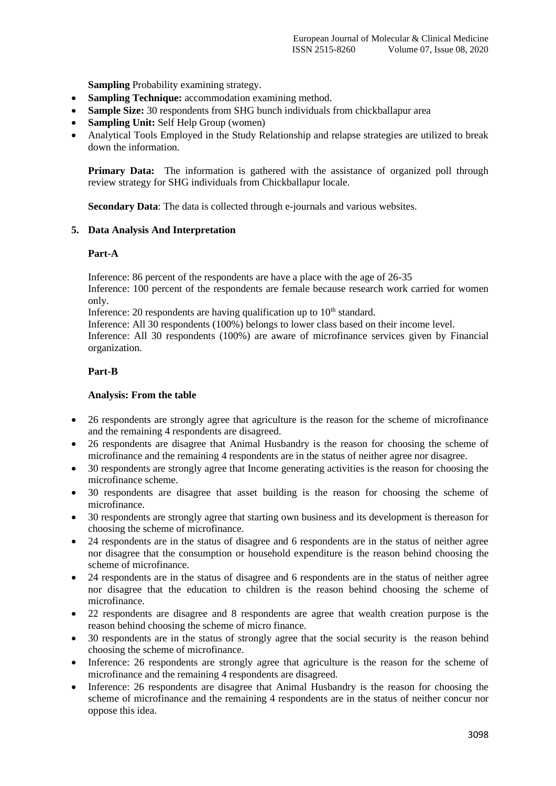**Sampling** Probability examining strategy.

- **Sampling Technique:** accommodation examining method.
- **Sample Size:** 30 respondents from SHG bunch individuals from chickballapur area
- **Sampling Unit:** Self Help Group (women)
- Analytical Tools Employed in the Study Relationship and relapse strategies are utilized to break down the information.

**Primary Data:** The information is gathered with the assistance of organized poll through review strategy for SHG individuals from Chickballapur locale.

**Secondary Data**: The data is collected through e-journals and various websites.

## **5. Data Analysis And Interpretation**

#### **Part-A**

Inference: 86 percent of the respondents are have a place with the age of 26-35

Inference: 100 percent of the respondents are female because research work carried for women only.

Inference: 20 respondents are having qualification up to  $10<sup>th</sup>$  standard.

Inference: All 30 respondents (100%) belongs to lower class based on their income level.

Inference: All 30 respondents (100%) are aware of microfinance services given by Financial organization.

## **Part-B**

## **Analysis: From the table**

- 26 respondents are strongly agree that agriculture is the reason for the scheme of microfinance and the remaining 4 respondents are disagreed.
- 26 respondents are disagree that Animal Husbandry is the reason for choosing the scheme of microfinance and the remaining 4 respondents are in the status of neither agree nor disagree.
- 30 respondents are strongly agree that Income generating activities is the reason for choosing the microfinance scheme.
- 30 respondents are disagree that asset building is the reason for choosing the scheme of microfinance.
- 30 respondents are strongly agree that starting own business and its development is thereason for choosing the scheme of microfinance.
- 24 respondents are in the status of disagree and 6 respondents are in the status of neither agree nor disagree that the consumption or household expenditure is the reason behind choosing the scheme of microfinance.
- 24 respondents are in the status of disagree and 6 respondents are in the status of neither agree nor disagree that the education to children is the reason behind choosing the scheme of microfinance.
- 22 respondents are disagree and 8 respondents are agree that wealth creation purpose is the reason behind choosing the scheme of micro finance.
- 30 respondents are in the status of strongly agree that the social security is the reason behind choosing the scheme of microfinance.
- Inference: 26 respondents are strongly agree that agriculture is the reason for the scheme of microfinance and the remaining 4 respondents are disagreed.
- Inference: 26 respondents are disagree that Animal Husbandry is the reason for choosing the scheme of microfinance and the remaining 4 respondents are in the status of neither concur nor oppose this idea.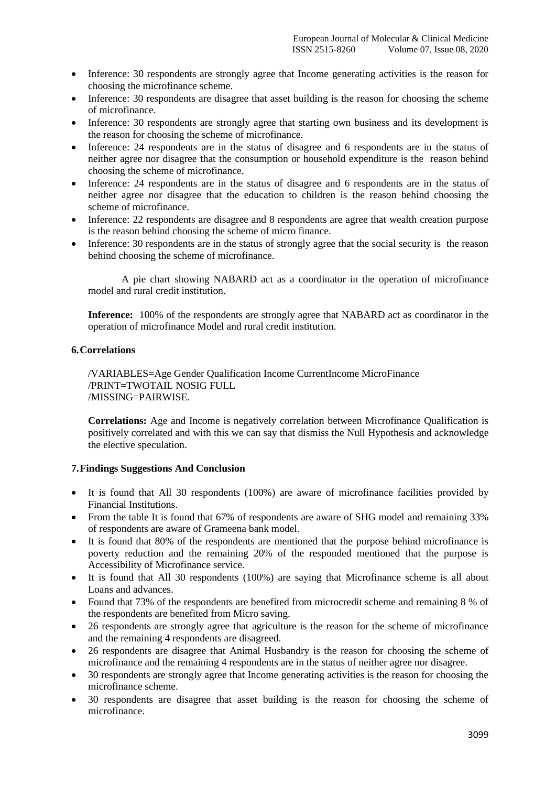- Inference: 30 respondents are strongly agree that Income generating activities is the reason for choosing the microfinance scheme.
- Inference: 30 respondents are disagree that asset building is the reason for choosing the scheme of microfinance.
- Inference: 30 respondents are strongly agree that starting own business and its development is the reason for choosing the scheme of microfinance.
- Inference: 24 respondents are in the status of disagree and 6 respondents are in the status of neither agree nor disagree that the consumption or household expenditure is the reason behind choosing the scheme of microfinance.
- Inference: 24 respondents are in the status of disagree and 6 respondents are in the status of neither agree nor disagree that the education to children is the reason behind choosing the scheme of microfinance.
- Inference: 22 respondents are disagree and 8 respondents are agree that wealth creation purpose is the reason behind choosing the scheme of micro finance.
- Inference: 30 respondents are in the status of strongly agree that the social security is the reason behind choosing the scheme of microfinance.

A pie chart showing NABARD act as a coordinator in the operation of microfinance model and rural credit institution.

**Inference:** 100% of the respondents are strongly agree that NABARD act as coordinator in the operation of microfinance Model and rural credit institution.

## **6.Correlations**

/VARIABLES=Age Gender Qualification Income CurrentIncome MicroFinance /PRINT=TWOTAIL NOSIG FULL /MISSING=PAIRWISE.

**Correlations:** Age and Income is negatively correlation between Microfinance Qualification is positively correlated and with this we can say that dismiss the Null Hypothesis and acknowledge the elective speculation.

#### **7.Findings Suggestions And Conclusion**

- It is found that All 30 respondents (100%) are aware of microfinance facilities provided by Financial Institutions.
- From the table It is found that 67% of respondents are aware of SHG model and remaining 33% of respondents are aware of Grameena bank model.
- It is found that 80% of the respondents are mentioned that the purpose behind microfinance is poverty reduction and the remaining 20% of the responded mentioned that the purpose is Accessibility of Microfinance service.
- It is found that All 30 respondents (100%) are saying that Microfinance scheme is all about Loans and advances.
- Found that 73% of the respondents are benefited from microcredit scheme and remaining 8 % of the respondents are benefited from Micro saving.
- 26 respondents are strongly agree that agriculture is the reason for the scheme of microfinance and the remaining 4 respondents are disagreed.
- 26 respondents are disagree that Animal Husbandry is the reason for choosing the scheme of microfinance and the remaining 4 respondents are in the status of neither agree nor disagree.
- 30 respondents are strongly agree that Income generating activities is the reason for choosing the microfinance scheme.
- 30 respondents are disagree that asset building is the reason for choosing the scheme of microfinance.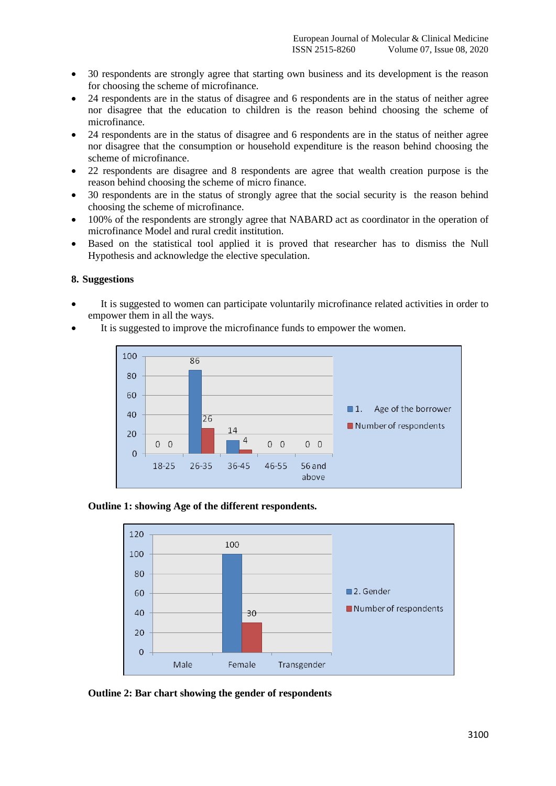- 30 respondents are strongly agree that starting own business and its development is the reason for choosing the scheme of microfinance.
- 24 respondents are in the status of disagree and 6 respondents are in the status of neither agree nor disagree that the education to children is the reason behind choosing the scheme of microfinance.
- 24 respondents are in the status of disagree and 6 respondents are in the status of neither agree nor disagree that the consumption or household expenditure is the reason behind choosing the scheme of microfinance.
- 22 respondents are disagree and 8 respondents are agree that wealth creation purpose is the reason behind choosing the scheme of micro finance.
- 30 respondents are in the status of strongly agree that the social security is the reason behind choosing the scheme of microfinance.
- 100% of the respondents are strongly agree that NABARD act as coordinator in the operation of microfinance Model and rural credit institution.
- Based on the statistical tool applied it is proved that researcher has to dismiss the Null Hypothesis and acknowledge the elective speculation.

#### **8. Suggestions**

- It is suggested to women can participate voluntarily microfinance related activities in order to empower them in all the ways.
- It is suggested to improve the microfinance funds to empower the women.







**Outline 2: Bar chart showing the gender of respondents**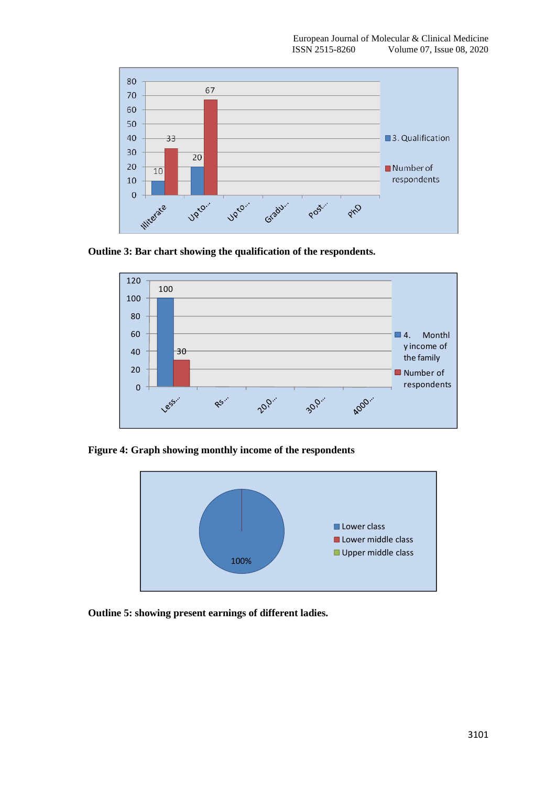

**Outline 3: Bar chart showing the qualification of the respondents.**



**Figure 4: Graph showing monthly income of the respondents**



**Outline 5: showing present earnings of different ladies.**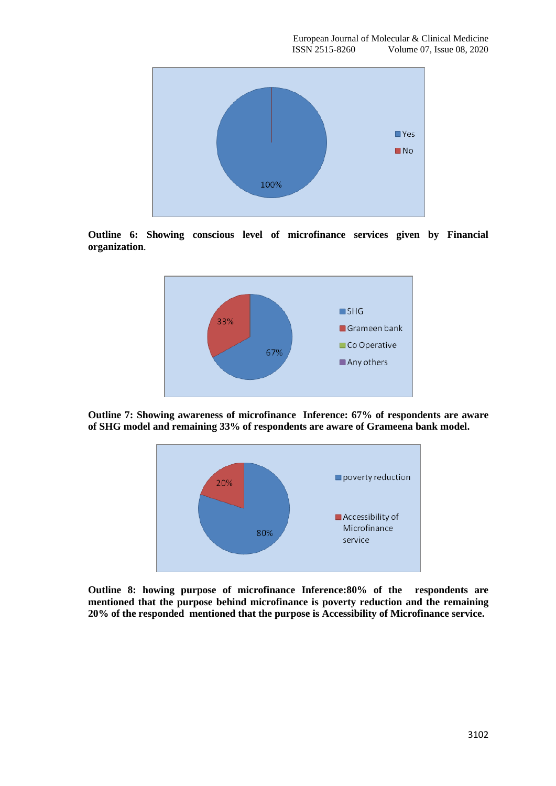

**Outline 6: Showing conscious level of microfinance services given by Financial organization**.



**Outline 7: Showing awareness of microfinance Inference: 67% of respondents are aware of SHG model and remaining 33% of respondents are aware of Grameena bank model.**



**Outline 8: howing purpose of microfinance Inference:80% of the respondents are mentioned that the purpose behind microfinance is poverty reduction and the remaining 20% of the responded mentioned that the purpose is Accessibility of Microfinance service.**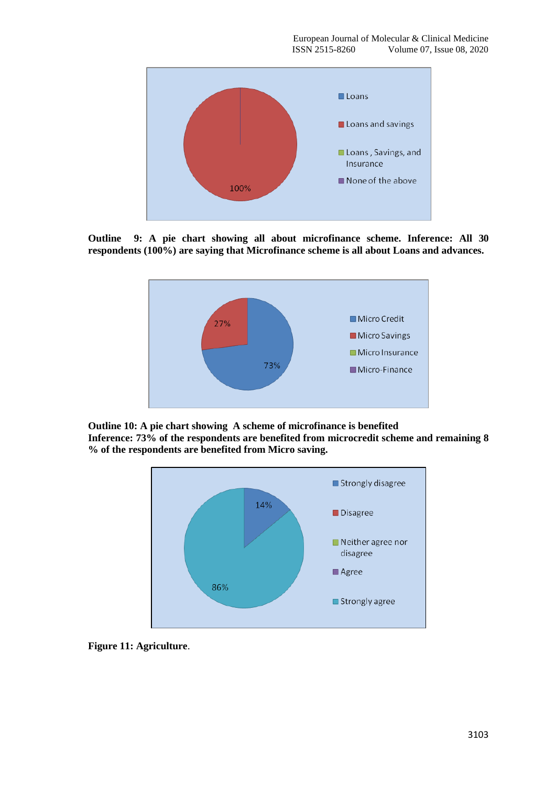

**Outline 9: A pie chart showing all about microfinance scheme. Inference: All 30 respondents (100%) are saying that Microfinance scheme is all about Loans and advances.**



**Outline 10: A pie chart showing A scheme of microfinance is benefited Inference: 73% of the respondents are benefited from microcredit scheme and remaining 8 % of the respondents are benefited from Micro saving.**



**Figure 11: Agriculture**.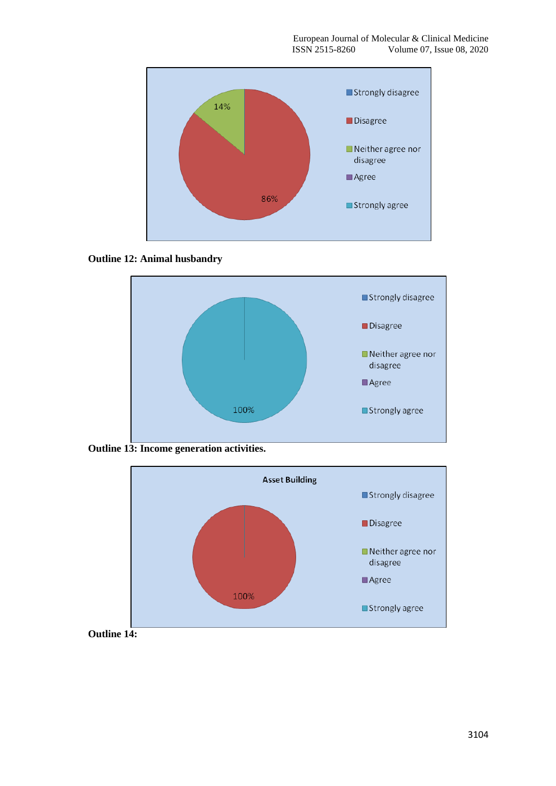

**Outline 12: Animal husbandry**



**Outline 13: Income generation activities.**

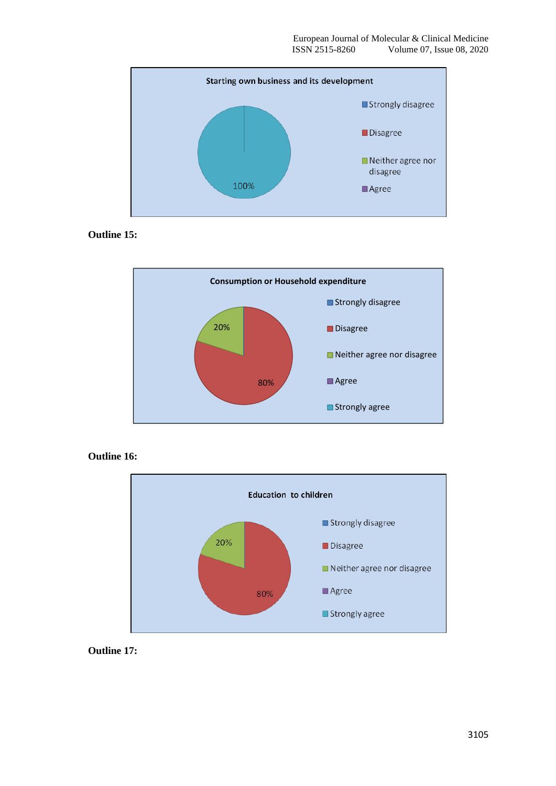

**Outline 15:**



**Outline 16:**



**Outline 17:**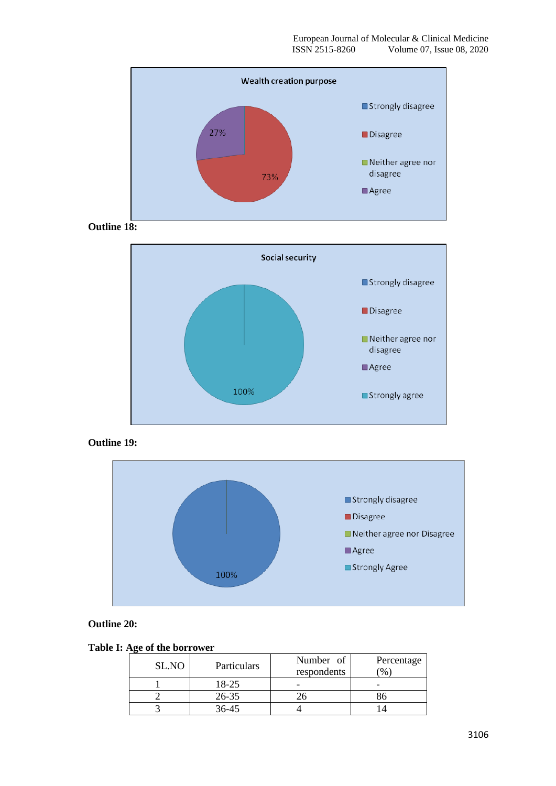

**Outline 18:**



**Outline 19:**



**Outline 20:**

**Table I: Age of the borrower**

| SL.NO | Particulars | Number of   | Percentage |
|-------|-------------|-------------|------------|
|       |             | respondents | $\%$       |
|       | 18-25       |             |            |
|       | $26 - 35$   |             |            |
|       | 36-45       |             |            |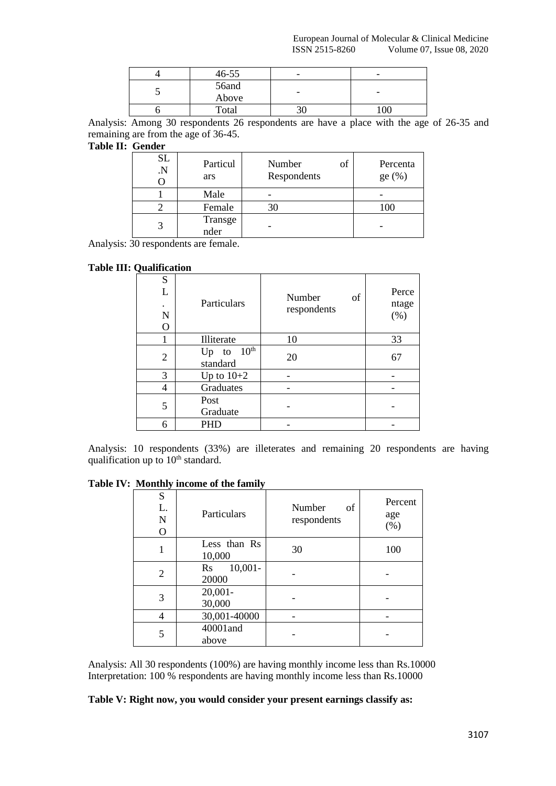|   | $46 - 55$      | - | $\overline{\phantom{a}}$ |
|---|----------------|---|--------------------------|
| ◡ | 56and<br>Above | - | $\overline{\phantom{0}}$ |
|   | Total          |   | 00                       |

Analysis: Among 30 respondents 26 respondents are have a place with the age of 26-35 and remaining are from the age of 36-45.

# **Table II: Gender**

| <b>SL</b><br>$\cdot$ N | Particul<br>ars | of<br>Number<br>Respondents | Percenta<br>ge $(\%)$ |
|------------------------|-----------------|-----------------------------|-----------------------|
|                        | Male            |                             |                       |
|                        | Female          | 30                          | 100                   |
| 3                      | Transge<br>nder |                             |                       |

Analysis: 30 respondents are female.

# **Table III: Qualification**

| ∼                |                                    |                             |                       |
|------------------|------------------------------------|-----------------------------|-----------------------|
| S<br>L<br>N<br>O | Particulars                        | of<br>Number<br>respondents | Perce<br>ntage<br>(%) |
|                  | Illiterate                         | 10                          | 33                    |
| $\overline{2}$   | Up to $10^{\text{th}}$<br>standard | 20                          | 67                    |
| 3                | Up to $10+2$                       |                             |                       |
| 4                | Graduates                          |                             |                       |
| 5                | Post<br>Graduate                   |                             |                       |
| 6                | PHD                                |                             |                       |

Analysis: 10 respondents (33%) are illeterates and remaining 20 respondents are having qualification up to  $10<sup>th</sup>$  standard.

| ${\bf S}$<br>L.<br>$\mathbf N$<br>O | Particulars                                   | Number<br>of<br>respondents | Percent<br>age<br>(%) |
|-------------------------------------|-----------------------------------------------|-----------------------------|-----------------------|
|                                     | Less than Rs<br>10,000                        | 30                          | 100                   |
| $\overline{2}$                      | $10,001 -$<br>$\mathbf{R}\mathbf{s}$<br>20000 |                             |                       |
| 3                                   | $20,001 -$<br>30,000                          |                             |                       |
| 4                                   | 30,001-40000                                  |                             |                       |
| 5                                   | 40001 and<br>above                            |                             |                       |

Analysis: All 30 respondents (100%) are having monthly income less than Rs.10000 Interpretation: 100 % respondents are having monthly income less than Rs.10000

**Table V: Right now, you would consider your present earnings classify as:**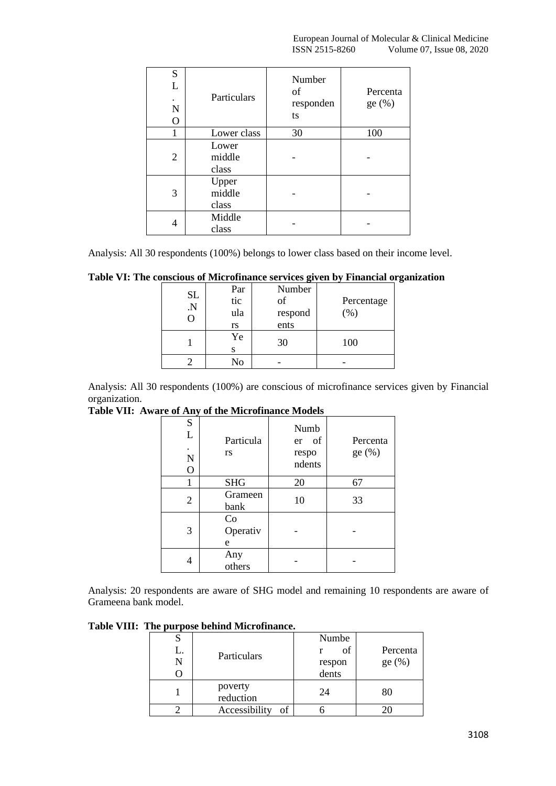| S<br>L<br>N<br>$\Omega$ | Particulars              | Number<br>of<br>responden<br>ts | Percenta<br>ge(%) |
|-------------------------|--------------------------|---------------------------------|-------------------|
|                         | Lower class              | 30                              | 100               |
| 2                       | Lower<br>middle<br>class |                                 |                   |
| 3                       | Upper<br>middle<br>class |                                 |                   |
| 4                       | Middle<br>class          |                                 |                   |

Analysis: All 30 respondents (100%) belongs to lower class based on their income level.

|  |  |  |  |  | Table VI: The conscious of Microfinance services given by Financial organization |
|--|--|--|--|--|----------------------------------------------------------------------------------|
|  |  |  |  |  |                                                                                  |

| SL<br>N. | Par<br>tic<br>ula<br>rs | Number<br>οf<br>respond<br>ents | Percentage<br>(% ) |
|----------|-------------------------|---------------------------------|--------------------|
|          | Ye<br>S                 | 30                              | 100                |
|          | No                      |                                 |                    |

Analysis: All 30 respondents (100%) are conscious of microfinance services given by Financial organization.

**Table VII: Aware of Any of the Microfinance Models**

| S<br>L<br>$\bullet$<br>N<br>O | Particula<br>rs     | Numb<br>er of<br>respo<br>ndents | Percenta<br>ge(%) |
|-------------------------------|---------------------|----------------------------------|-------------------|
|                               | <b>SHG</b>          | 20                               | 67                |
| 2                             | Grameen<br>bank     | 10                               | 33                |
| 3                             | Co<br>Operativ<br>e |                                  |                   |
|                               | Any<br>others       |                                  |                   |

Analysis: 20 respondents are aware of SHG model and remaining 10 respondents are aware of Grameena bank model.

**Table VIII: The purpose behind Microfinance.**

| L.<br>N | Particulars          | Numbe<br>of<br>respon<br>dents | Percenta<br>ge(%) |
|---------|----------------------|--------------------------------|-------------------|
|         | poverty<br>reduction | 24                             | 80                |
|         | Accessibility<br>of  |                                |                   |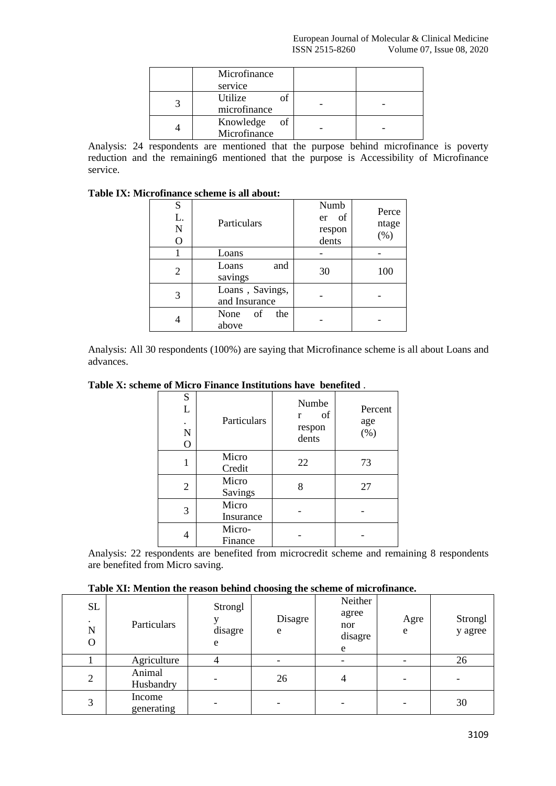| Microfinance                    |  |
|---------------------------------|--|
| service                         |  |
| Utilize<br>microfinance         |  |
| Knowledge<br>of<br>Microfinance |  |

Analysis: 24 respondents are mentioned that the purpose behind microfinance is poverty reduction and the remaining6 mentioned that the purpose is Accessibility of Microfinance service.

## **Table IX: Microfinance scheme is all about:**

| S<br>L.<br>N<br>O | Particulars                      | Numb<br>of<br>er<br>respon<br>dents | Perce<br>ntage<br>(%) |
|-------------------|----------------------------------|-------------------------------------|-----------------------|
|                   | Loans                            |                                     |                       |
| 2                 | Loans<br>and<br>savings          | 30                                  | 100                   |
| 3                 | Loans, Savings,<br>and Insurance |                                     |                       |
|                   | None of<br>the<br>above          |                                     |                       |

Analysis: All 30 respondents (100%) are saying that Microfinance scheme is all about Loans and advances.

**Table X: scheme of Micro Finance Institutions have benefited** .

| S<br>L<br>N<br>$\overline{O}$ | Particulars        | Numbe<br>of<br>r<br>respon<br>dents | Percent<br>age<br>(% ) |
|-------------------------------|--------------------|-------------------------------------|------------------------|
|                               | Micro<br>Credit    | 22                                  | 73                     |
| 2                             | Micro<br>Savings   | 8                                   | 27                     |
| 3                             | Micro<br>Insurance |                                     |                        |
| 4                             | Micro-<br>Finance  |                                     |                        |

Analysis: 22 respondents are benefited from microcredit scheme and remaining 8 respondents are benefited from Micro saving.

| SL<br>$\bullet$<br>N<br>0 | Particulars          | Strongl<br>disagre<br>e  | Disagre<br>e | Neither<br>agree<br>nor<br>disagre<br>e | Agre<br>e | Strongl<br>y agree |
|---------------------------|----------------------|--------------------------|--------------|-----------------------------------------|-----------|--------------------|
|                           | Agriculture          | 4                        |              |                                         |           | 26                 |
| $\overline{2}$            | Animal<br>Husbandry  | $\overline{\phantom{0}}$ | 26           | 4                                       | -         |                    |
| 3                         | Income<br>generating |                          |              |                                         |           | 30                 |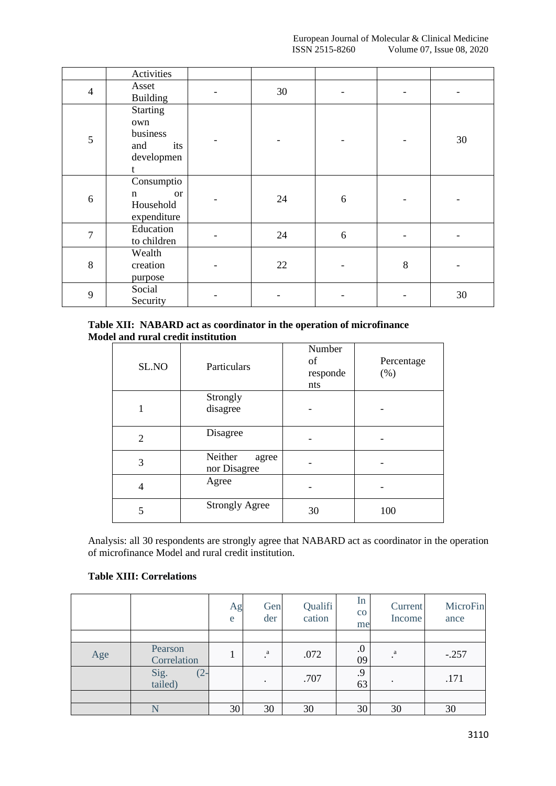|                | Activities                                                          |    |   |       |    |
|----------------|---------------------------------------------------------------------|----|---|-------|----|
| $\overline{4}$ | Asset<br><b>Building</b>                                            | 30 |   |       |    |
| 5              | <b>Starting</b><br>own<br>business<br>and<br>its<br>developmen<br>t |    |   |       | 30 |
| 6              | Consumptio<br><b>or</b><br>$\mathbf n$<br>Household<br>expenditure  | 24 | 6 |       |    |
| 7              | Education<br>to children                                            | 24 | 6 |       |    |
| 8              | Wealth<br>creation<br>purpose                                       | 22 |   | $8\,$ |    |
| 9              | Social<br>Security                                                  |    |   |       | 30 |

## **Table XII: NABARD act as coordinator in the operation of microfinance Model and rural credit institution**

| SL.NO          | Particulars                      | Number<br>of<br>responde<br>nts | Percentage<br>(% ) |
|----------------|----------------------------------|---------------------------------|--------------------|
|                | Strongly<br>disagree             |                                 |                    |
| $\overline{2}$ | Disagree                         |                                 |                    |
| 3              | Neither<br>agree<br>nor Disagree |                                 |                    |
| 4              | Agree                            |                                 |                    |
| 5              | <b>Strongly Agree</b>            | 30                              | 100                |

Analysis: all 30 respondents are strongly agree that NABARD act as coordinator in the operation of microfinance Model and rural credit institution.

## **Table XIII: Correlations**

|     |                           | Ag<br>e | Gen<br>der | Qualifi<br>cation | In<br>$\rm{CO}$<br>me | Current<br>Income | MicroFin<br>ance |
|-----|---------------------------|---------|------------|-------------------|-----------------------|-------------------|------------------|
|     |                           |         |            |                   |                       |                   |                  |
| Age | Pearson<br>Correlation    |         | a          | .072              | $\cdot$<br>09         | $\rm{a}$          | $-.257$          |
|     | Sig.<br>tailed)<br>$(2 -$ |         | ٠          | .707              | .9<br>63              | ٠                 | .171             |
|     |                           |         |            |                   |                       |                   |                  |
|     |                           | 30      | 30         | 30                | 30                    | 30                | 30               |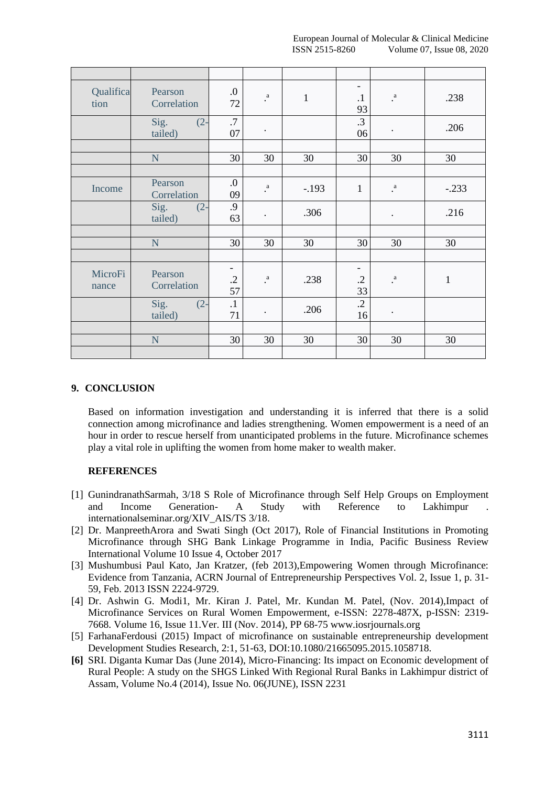| Qualifica<br>tion | Pearson<br>Correlation    | 0.<br>72                                     | $\cdot^a$       | $\mathbf{1}$ | $\overline{\phantom{0}}$<br>$\cdot$<br>93    | $\cdot^a$          | .238         |
|-------------------|---------------------------|----------------------------------------------|-----------------|--------------|----------------------------------------------|--------------------|--------------|
|                   | Sig.<br>$(2 -$<br>tailed) | .7<br>07                                     | $\bullet$       |              | .3<br>06                                     | $\bullet$          | .206         |
|                   |                           |                                              |                 |              |                                              |                    |              |
|                   | N                         | 30                                           | 30              | 30           | 30                                           | 30                 | 30           |
|                   |                           |                                              |                 |              |                                              |                    |              |
| Income            | Pearson<br>Correlation    | 0.<br>09                                     | $\rm{a}$        | $-.193$      | $\mathbf{1}$                                 | $\cdot^a$          | $-.233$      |
|                   | Sig.<br>$(2 -$<br>tailed) | .9<br>63                                     | $\bullet$       | .306         |                                              | $\bullet$          | .216         |
|                   |                           |                                              |                 |              |                                              |                    |              |
|                   | N                         | 30                                           | 30              | 30           | 30                                           | 30                 | 30           |
|                   |                           |                                              |                 |              |                                              |                    |              |
| MicroFi<br>nance  | Pearson<br>Correlation    | $\overline{\phantom{0}}$<br>$\cdot$ .2<br>57 | $_{\rm a}$ $\,$ | .238         | $\overline{\phantom{0}}$<br>$\cdot$ .2<br>33 | $_{\rm *}^{\rm a}$ | $\mathbf{1}$ |
|                   | Sig.<br>$(2 -$<br>tailed) | $\cdot$ 1<br>71                              | $\bullet$       | .206         | $\cdot$<br>16                                | $\bullet$          |              |
|                   |                           |                                              |                 |              |                                              |                    |              |
|                   | N                         | 30                                           | 30              | 30           | 30                                           | 30                 | 30           |
|                   |                           |                                              |                 |              |                                              |                    |              |

## **9. CONCLUSION**

Based on information investigation and understanding it is inferred that there is a solid connection among microfinance and ladies strengthening. Women empowerment is a need of an hour in order to rescue herself from unanticipated problems in the future. Microfinance schemes play a vital role in uplifting the women from home maker to wealth maker.

# **REFERENCES**

- [1] GunindranathSarmah, 3/18 S Role of Microfinance through Self Help Groups on Employment and Income Generation- A Study with Reference to Lakhimpur internationalseminar.org/XIV\_AIS/TS 3/18.
- [2] Dr. ManpreethArora and Swati Singh (Oct 2017), Role of Financial Institutions in Promoting Microfinance through SHG Bank Linkage Programme in India, Pacific Business Review International Volume 10 Issue 4, October 2017
- [3] Mushumbusi Paul Kato, Jan Kratzer, (feb 2013),Empowering Women through Microfinance: Evidence from Tanzania, ACRN Journal of Entrepreneurship Perspectives Vol. 2, Issue 1, p. 31- 59, Feb. 2013 ISSN 2224-9729.
- [4] Dr. Ashwin G. Modi1, Mr. Kiran J. Patel, Mr. Kundan M. Patel, (Nov. 2014),Impact of Microfinance Services on Rural Women Empowerment, e-ISSN: 2278-487X, p-ISSN: 2319- 7668. Volume 16, Issue 11.Ver. III (Nov. 2014), PP 68-75 [www.iosrjournals.org](http://www.iosrjournals.org/)
- [5] FarhanaFerdousi (2015) Impact of microfinance on sustainable entrepreneurship development Development Studies Research, 2:1, 51-63, DOI:10.1080/21665095.2015.1058718.
- **[6]** SRI. Diganta Kumar Das (June 2014), Micro-Financing: Its impact on Economic development of Rural People: A study on the SHGS Linked With Regional Rural Banks in Lakhimpur district of Assam, Volume No.4 (2014), Issue No. 06(JUNE), ISSN 2231